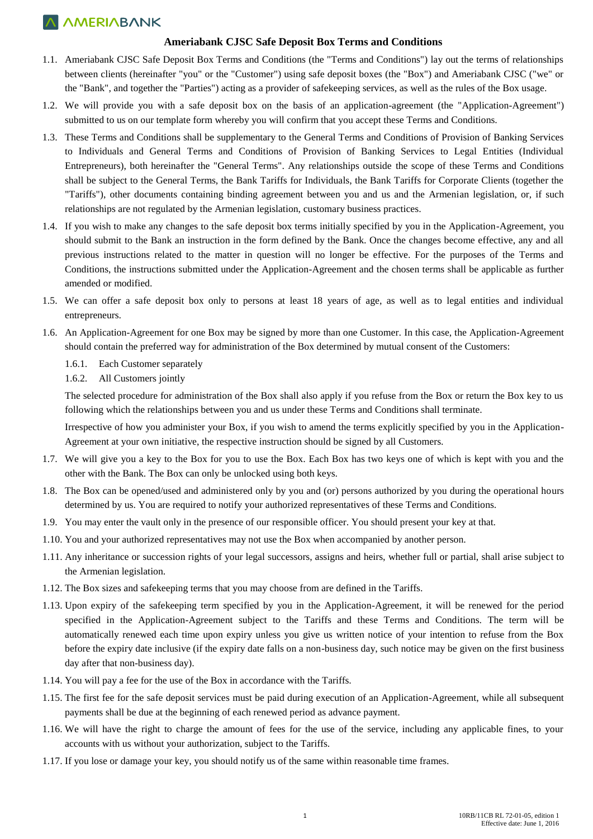## **A AMERIABANK**

## **Ameriabank CJSC Safe Deposit Box Terms and Conditions**

- 1.1. Ameriabank CJSC Safe Deposit Box Terms and Conditions (the "Terms and Conditions") lay out the terms of relationships between clients (hereinafter "you" or the "Customer") using safe deposit boxes (the "Box") and Ameriabank CJSC ("we" or the "Bank", and together the "Parties") acting as a provider of safekeeping services, as well as the rules of the Box usage.
- 1.2. We will provide you with a safe deposit box on the basis of an application-agreement (the "Application-Agreement") submitted to us on our template form whereby you will confirm that you accept these Terms and Conditions.
- 1.3. These Terms and Conditions shall be supplementary to the General Terms and Conditions of Provision of Banking Services to Individuals and General Terms and Conditions of Provision of Banking Services to Legal Entities (Individual Entrepreneurs), both hereinafter the "General Terms". Any relationships outside the scope of these Terms and Conditions shall be subject to the General Terms, the Bank Tariffs for Individuals, the Bank Tariffs for Corporate Clients (together the "Tariffs"), other documents containing binding agreement between you and us and the Armenian legislation, or, if such relationships are not regulated by the Armenian legislation, customary business practices.
- 1.4. If you wish to make any changes to the safe deposit box terms initially specified by you in the Application-Agreement, you should submit to the Bank an instruction in the form defined by the Bank. Once the changes become effective, any and all previous instructions related to the matter in question will no longer be effective. For the purposes of the Terms and Conditions, the instructions submitted under the Application-Agreement and the chosen terms shall be applicable as further amended or modified.
- 1.5. We can offer a safe deposit box only to persons at least 18 years of age, as well as to legal entities and individual entrepreneurs.
- 1.6. An Application-Agreement for one Box may be signed by more than one Customer. In this case, the Application-Agreement should contain the preferred way for administration of the Box determined by mutual consent of the Customers:
	- 1.6.1. Each Customer separately
	- 1.6.2. All Customers jointly

The selected procedure for administration of the Box shall also apply if you refuse from the Box or return the Box key to us following which the relationships between you and us under these Terms and Conditions shall terminate.

Irrespective of how you administer your Box, if you wish to amend the terms explicitly specified by you in the Application-Agreement at your own initiative, the respective instruction should be signed by all Customers.

- 1.7. We will give you a key to the Box for you to use the Box. Each Box has two keys one of which is kept with you and the other with the Bank. The Box can only be unlocked using both keys.
- 1.8. The Box can be opened/used and administered only by you and (or) persons authorized by you during the operational hours determined by us. You are required to notify your authorized representatives of these Terms and Conditions.
- 1.9. You may enter the vault only in the presence of our responsible officer. You should present your key at that.
- 1.10. You and your authorized representatives may not use the Box when accompanied by another person.
- 1.11. Any inheritance or succession rights of your legal successors, assigns and heirs, whether full or partial, shall arise subject to the Armenian legislation.
- 1.12. The Box sizes and safekeeping terms that you may choose from are defined in the Tariffs.
- 1.13. Upon expiry of the safekeeping term specified by you in the Application-Agreement, it will be renewed for the period specified in the Application-Agreement subject to the Tariffs and these Terms and Conditions. The term will be automatically renewed each time upon expiry unless you give us written notice of your intention to refuse from the Box before the expiry date inclusive (if the expiry date falls on a non-business day, such notice may be given on the first business day after that non-business day).
- 1.14. You will pay a fee for the use of the Box in accordance with the Tariffs.
- 1.15. The first fee for the safe deposit services must be paid during execution of an Application-Agreement, while all subsequent payments shall be due at the beginning of each renewed period as advance payment.
- 1.16. We will have the right to charge the amount of fees for the use of the service, including any applicable fines, to your accounts with us without your authorization, subject to the Tariffs.
- 1.17. If you lose or damage your key, you should notify us of the same within reasonable time frames.